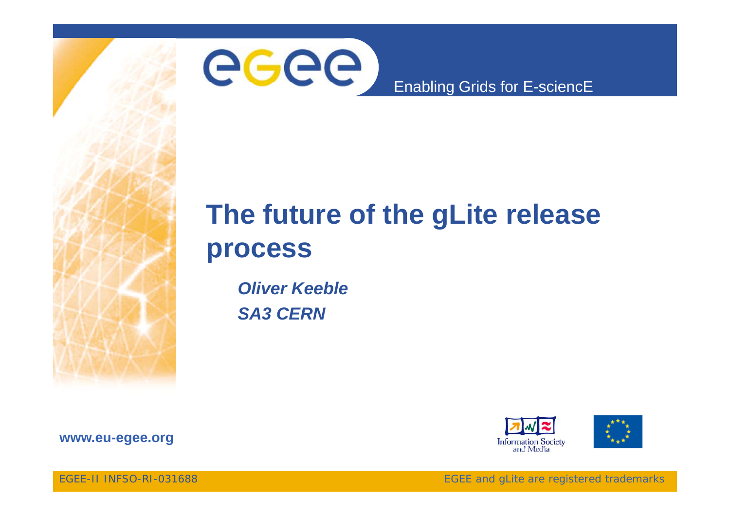

# **The future of the gLite release process**

*Oliver KeebleSA3 CERN*\_\_\_\_\_\_





**www.eu-egee.org**

EGEE-II INFSO-RI-031688

EGEE and gLite are registered trademarks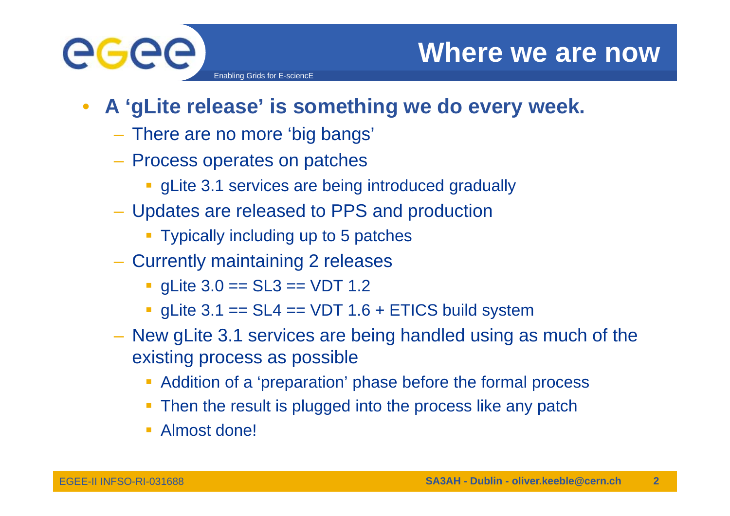

- $\bullet$  **A 'gLite release' is something we do every week.**
	- There are no more 'big bangs'

- Process operates on patches
	- **gLite 3.1 services are being introduced gradually**
- Updates are released to PPS and production
	- **Typically including up to 5 patches**
- Currently maintaining 2 releases
	- gLite 3.0 == SL3 == VDT 1.2
	- gLite  $3.1$  == SL4 == VDT  $1.6$  + ETICS build system
- New gLite 3.1 services are being handled using as much of the existing process as possible
	- Addition of a 'preparation' phase before the formal process
	- **Then the result is plugged into the process like any patch**
	- Almost done!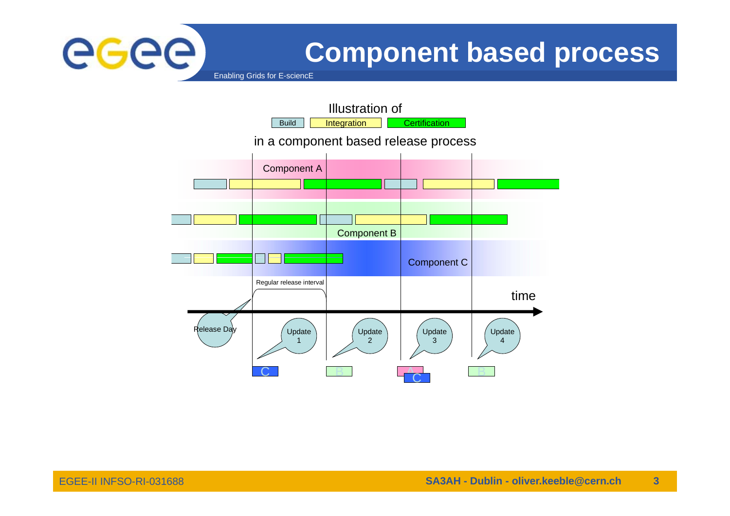

# **Component based process**

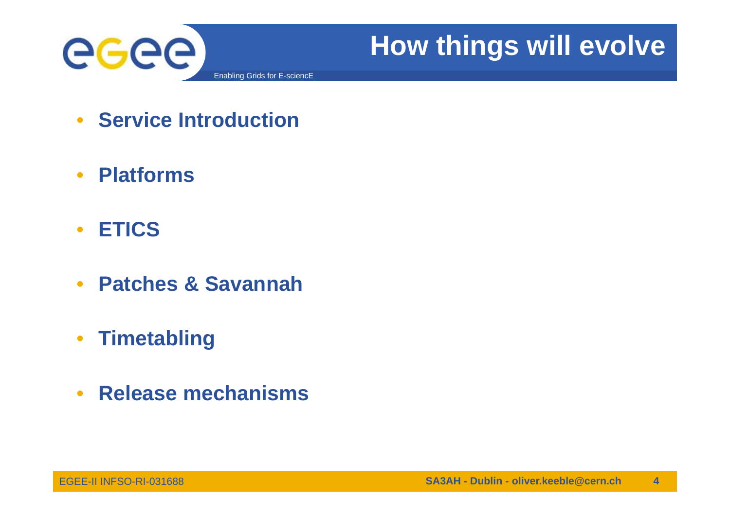

## • **Service Introduction**

- $\bullet$ **Platforms**
- •**ETICS**
- $\bullet$ **Patches & Savannah**
- $\bullet$ **Timetabling**
- $\bullet$ **Release mechanisms**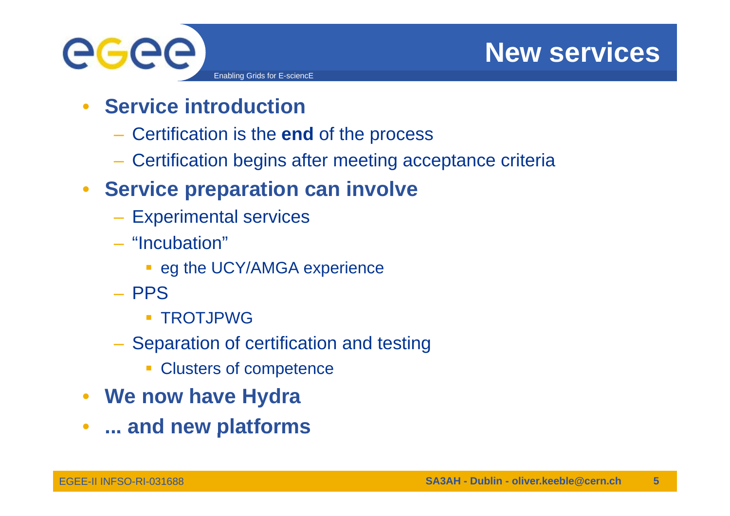

- GGGG Enabling Grids for E-sciencE
	- $\bullet$  **Service introduction**
		- Certification is the **end** of the process
		- Certification begins after meeting acceptance criteria
	- **Service preparation can involve** 
		- Experimental services
		- "Incubation"
			- **eg the UCY/AMGA experience**
		- PPS
			- **TROTJPWG**
		- Separation of certification and testing
			- **Clusters of competence**
	- **We now have Hydra**
	- $\bullet$ **... and new platforms and**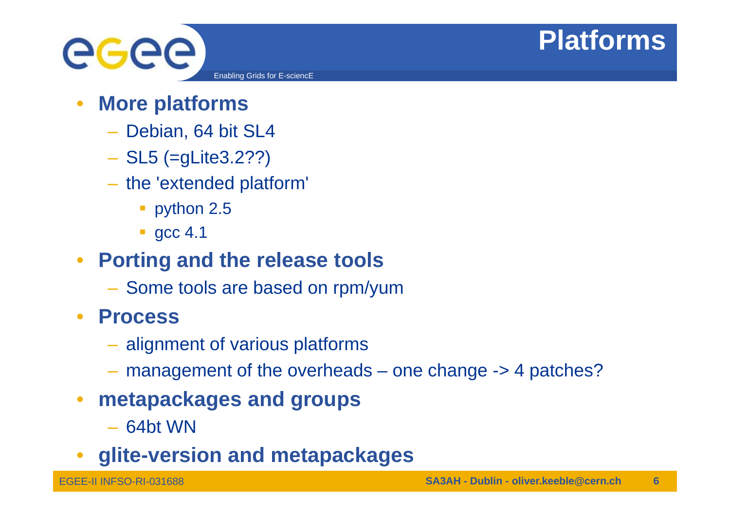# **Platforms**



- • **More platforms**
	- Debian, 64 bit SL4
	- SL5 (=gLite3.2??)
	- the 'extended platform'
		- **python 2.5**
		- **gcc 4.1**
- $\bullet$  **Porting and the release tools**
	- Some tools are based on rpm/yum
- $\bullet$  **Process**
	- alignment of various platforms
	- $-$  management of the overheads  $-$  one change  $\rightarrow$  4 patches?
- $\bullet$  **metapackages and groups**
	- 64bt WN
- •**glite-version and metapackages**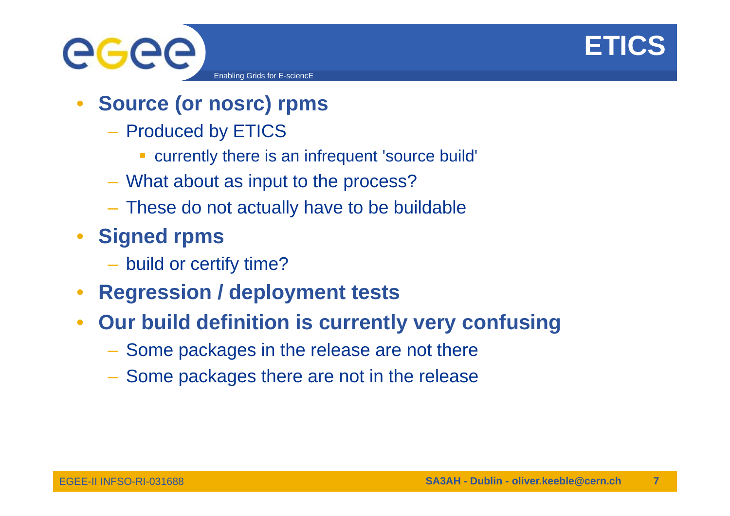



- • **Source (or nosrc) rpms**
	- Produced by ETICS
		- currently there is an infrequent 'source build'
	- What about as input to the process?
	- These do not actually have to be buildable
- $\bullet$  **Signed rpms**
	- build or certify time?
- •**Regression / deployment tests**
- $\bullet$  **O b ild d fi iti i tl f i Our build definition is currently very confusing**
	- Some packages in the release are not there
	- Some packages there are not in the release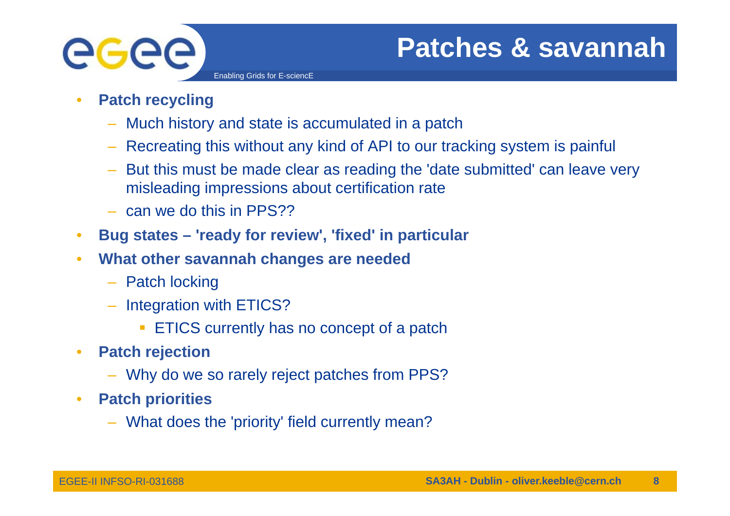

# **Patches & savannah**

- • **Patch recycling**
	- Much history and state is accumulated in a patch

- Recreating this without any kind of API to our tracking system is painful
- But this must be made clear as reading the 'date submitted' can leave very misleading impressions about certification rate
- can we do this in PPS??
- $\bullet$ **Bug states – 'ready for review', 'fixed' in particular**
- • **What other savannah changes are needed**
	- Patch locking
	- Integration with ETICS?
		- **ETICS currently has no concept of a patch**
- $\bullet$  **Patch rejection**
	- Why do we so rarely reject patches from PPS?
- $\bullet$  **Patch priorities**
	- What does the 'priority' field currently mean?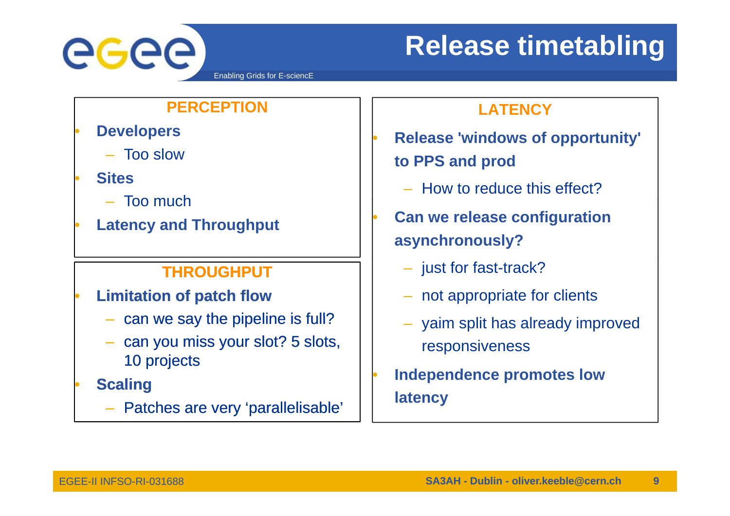

# **Release timetabling**

### **PERCEPTION**

- •
	- Too slow
- • **Sites**
	- Too much–
- •**Latency and Throughput**

## **THROUGHPUT**

- • **Limitation of patch flow**
	- can we say the pipeline is full?
	- can you miss your slot? 5 slots, 10 projects
- • **Scaling**
	- Patches are very 'parallelisable'

## **LATENCY**

- **Release 'windows of opportunity' Proportionally to PPS and prod**
	- How to reduce this effect?
	- **Can we release configuration asynchronously?**
		- just for fast-track?

•

•

•

- not appropriate for clients
- yaim split has already improved responsiveness
- **Independence promotes low latency**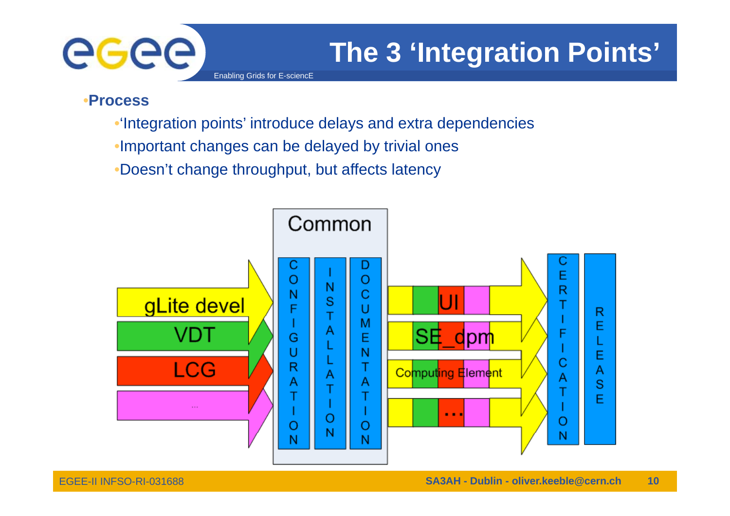

# **The 3 'Integration Points'**

Enabling Grids for E-sciencE

### •**Process**

- •'Integration points' introduce delays and extra dependencies
- •Important changes can be delayed by trivial ones
- •Doesn't change throughput, but affects latency

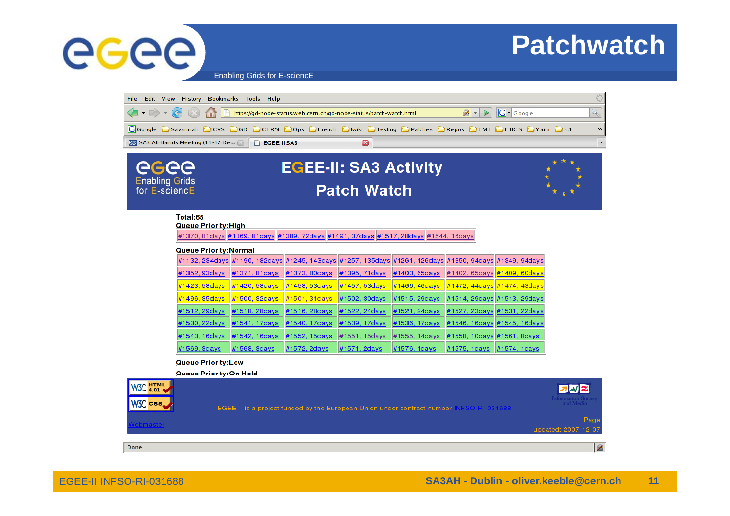

EGEE-II INFSO-RI-031688

# **Patchwatch**

Enabling Grids for E-sciencE



#### Total:65

**Queue Priority: High** 

#1370, 81days #1369, 81days #1389, 72days #1491, 37days #1517, 28days #1544, 16days

#### **Queue Priority: Normal**

| #1132, 234days #1190, 182days #1245, 143days #1257, 135days #1261, 126days #1350, 94days #1349, 94days         |                                                                                                        |              |                           |                                                   |  |
|----------------------------------------------------------------------------------------------------------------|--------------------------------------------------------------------------------------------------------|--------------|---------------------------|---------------------------------------------------|--|
| #1352, 93days                                                                                                  | #1371, 81days  #1373, 80days  #1395, 71days  #1403, 65days  #1402, 65days  #1409, 60days               |              |                           |                                                   |  |
| #1423, 58days  #1420, 58days  #1458, 53days  #1457, 53days  #1466, 46days  #1472, 44days  #1474, 43days        |                                                                                                        |              |                           |                                                   |  |
| #1496, 35days  #1500, 32days  #1501, 31days  #1502, 30days  #1515, 29days  #1514, 29days  #1513, 29days  #1513 |                                                                                                        |              |                           |                                                   |  |
|                                                                                                                | #1512, 29days  #1518, 28days  #1516, 28days  #1522, 24days  #1521, 24days  #1527, 23days #1531, 22days |              |                           |                                                   |  |
|                                                                                                                | #1530, 22days #1541, 17days #1540, 17days #1539, 17days #1536, 17days #1546, 16days #1545, 16days      |              |                           |                                                   |  |
| #1543, 16days                                                                                                  | #1542, 16days  #1552, 15days  #1551, 15days  #1555, 14days  #1558, 10days #1561, 8days                 |              |                           |                                                   |  |
| #1569, 3days                                                                                                   | #1568, 3 days                                                                                          | #1572, 2days | #1571, 2days #1576, 1days | $\#1575, 1 \text{ days}$ $\#1574, 1 \text{ days}$ |  |

#### **Queue Priority:Low**

Queue Priority:On Hold

| W3C HTML<br>W3C css | EGEE-II is a project funded by the European Union under contract number | <b>z</b> W z<br>Information Soc<br>and Media |
|---------------------|-------------------------------------------------------------------------|----------------------------------------------|
|                     |                                                                         | Page<br>updated: 2007-12-07                  |
| Done                |                                                                         |                                              |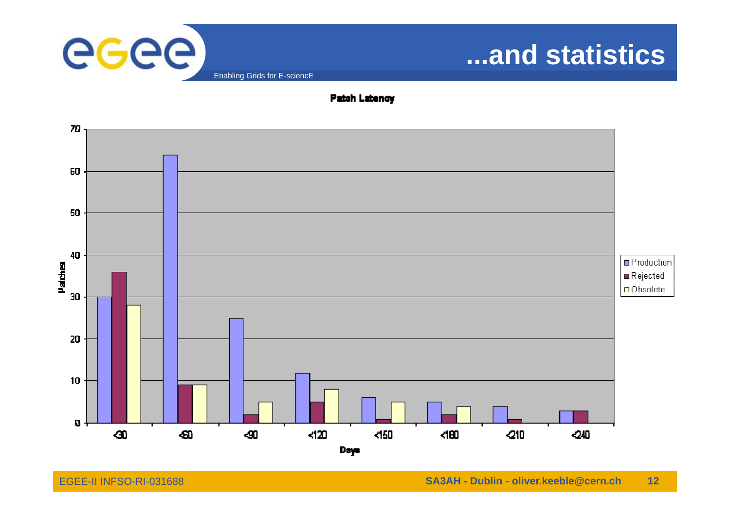

# **...and statistics**



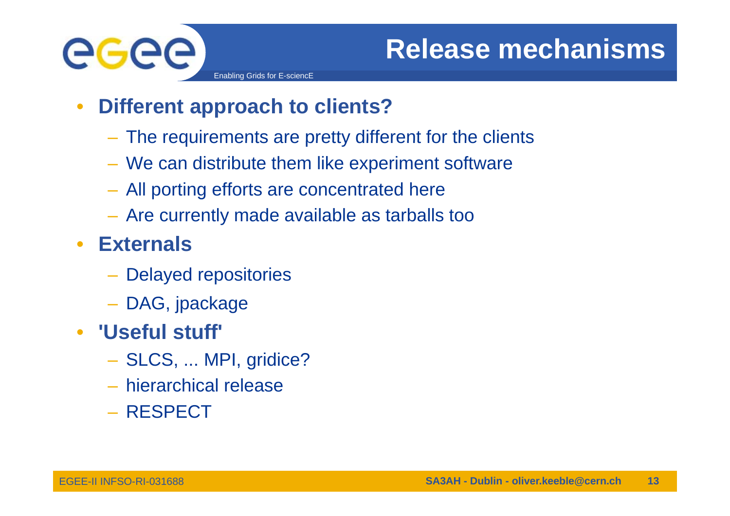

 $\bullet$ **Different approach to clients?**

- The requirements are pretty different for the clients
- We can distribute them like experiment software
- All porting efforts are concentrated here
- Are currently made available as tarballs too
- $\bullet$  **Externals**
	- Delayed repositories
	- DAG, jpackage
- **'Useful stuff'**
	- SLCS, ... MPI, gridice?
	- hierarchical release
	- RESPECT